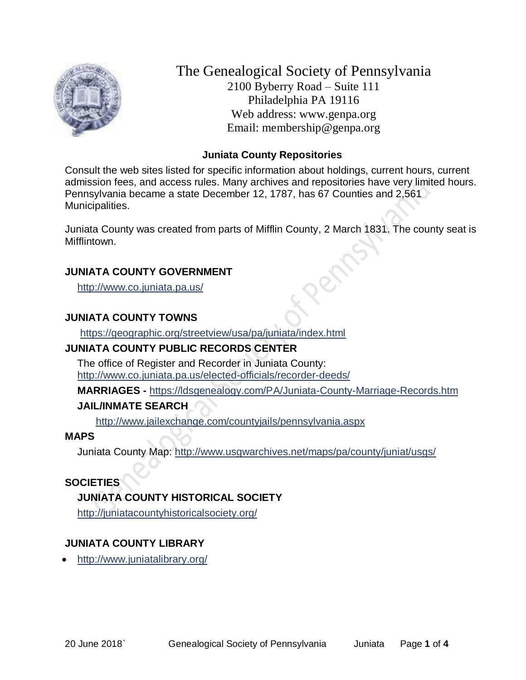

The Genealogical Society of Pennsylvania 2100 Byberry Road – Suite 111 Philadelphia PA 19116 Web address: www.genpa.org Email: membership@genpa.org

### **Juniata County Repositories**

Consult the web sites listed for specific information about holdings, current hours, current admission fees, and access rules. Many archives and repositories have very limited hours. Pennsylvania became a state December 12, 1787, has 67 Counties and 2,561 Municipalities.

Juniata County was created from parts of Mifflin County, 2 March 1831. The county seat is **Mifflintown** 

### **JUNIATA COUNTY GOVERNMENT**

<http://www.co.juniata.pa.us/>

# **JUNIATA COUNTY TOWNS**

<https://geographic.org/streetview/usa/pa/juniata/index.html>

# **JUNIATA COUNTY PUBLIC RECORDS CENTER**

The office of Register and Recorder in Juniata County: <http://www.co.juniata.pa.us/elected-officials/recorder-deeds/>

**MARRIAGES -** <https://ldsgenealogy.com/PA/Juniata-County-Marriage-Records.htm>

# **JAIL/INMATE SEARCH**

<http://www.jailexchange.com/countyjails/pennsylvania.aspx>

# **MAPS**

Juniata County Map:<http://www.usgwarchives.net/maps/pa/county/juniat/usgs/>

# **SOCIETIES**

# **JUNIATA COUNTY HISTORICAL SOCIETY**

<http://juniatacountyhistoricalsociety.org/>

# **JUNIATA COUNTY LIBRARY**

• <http://www.juniatalibrary.org/>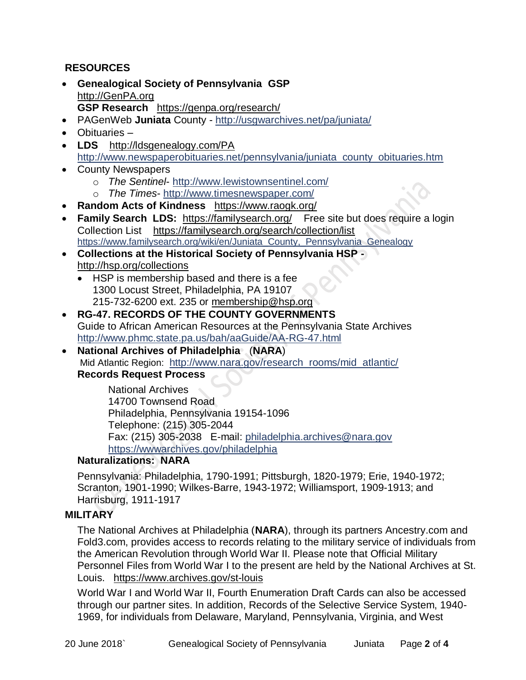# **RESOURCES**

- **Genealogical Society of Pennsylvania GSP** [http://GenPA.org](http://genpa.org/) **GSP Research** <https://genpa.org/research/>
- PAGenWeb **Juniata** County <http://usgwarchives.net/pa/juniata/>
- Obituaries –
- LDS <http://ldsgenealogy.com/PA> [http://www.newspaperobituaries.net/pennsylvania/juniata\\_county\\_obituaries.htm](http://www.newspaperobituaries.net/pennsylvania/juniata_county_obituaries.htm)
- County Newspapers
	- o *The Sentinel* <http://www.lewistownsentinel.com/>
	- o *The Times* <http://www.timesnewspaper.com/>
- **Random Acts of Kindness** <https://www.raogk.org/>
- **Family Search LDS:** <https://familysearch.org/>Free site but does require a login Collection List <https://familysearch.org/search/collection/list> https://www.familysearch.org/wiki/en/Juniata County, Pennsylvania Genealogy
- **Collections at the Historical Society of Pennsylvania HSP**  <http://hsp.org/collections>
	- HSP is membership based and there is a fee 1300 Locust Street, Philadelphia, PA 19107 215-732-6200 ext. 235 or [membership@hsp.org](mailto:membership@hsp.org)
- **RG-47. RECORDS OF THE COUNTY GOVERNMENTS** Guide to African American Resources at the Pennsylvania State Archives <http://www.phmc.state.pa.us/bah/aaGuide/AA-RG-47.html>
- **National Archives of Philadelphia** (**NARA**) Mid Atlantic Region: [http://www.nara.gov/research\\_rooms/mid\\_atlantic/](http://www.nara.gov/research_rooms/mid_atlantic/) **Records Request Process**

National Archives 14700 Townsend Road Philadelphia, Pennsylvania 19154-1096 Telephone: (215) 305-2044 Fax: (215) 305-2038 E-mail: [philadelphia.archives@nara.gov](mailto:philadelphia.archives@nara.gov) <https://wwwarchives.gov/philadelphia>

# **Naturalizations: NARA**

Pennsylvania: Philadelphia, 1790-1991; Pittsburgh, 1820-1979; Erie, 1940-1972; Scranton, 1901-1990; Wilkes-Barre, 1943-1972; Williamsport, 1909-1913; and Harrisburg, 1911-1917

# **MILITARY**

The National Archives at Philadelphia (**NARA**), through its partners Ancestry.com and Fold3.com, provides access to records relating to the military service of individuals from the American Revolution through World War II. Please note that Official Military Personnel Files from World War I to the present are held by the National Archives at St. Louis. <https://www.archives.gov/st-louis>

World War I and World War II, Fourth Enumeration Draft Cards can also be accessed through our partner sites. In addition, Records of the Selective Service System, 1940- 1969, for individuals from Delaware, Maryland, Pennsylvania, Virginia, and West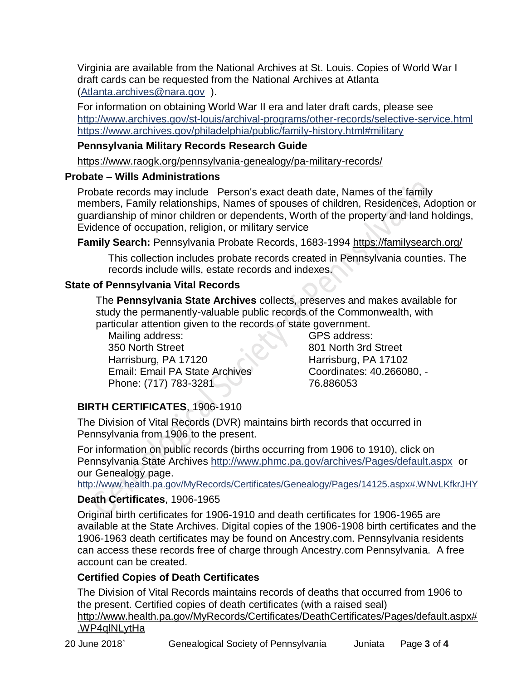Virginia are available from the National Archives at St. Louis. Copies of World War I draft cards can be requested from the National Archives at Atlanta [\(Atlanta.archives@nara.gov](mailto:Atlanta.archives@nara.gov) ).

For information on obtaining World War II era and later draft cards, please see <http://www.archives.gov/st-louis/archival-programs/other-records/selective-service.html> <https://www.archives.gov/philadelphia/public/family-history.html#military>

# **Pennsylvania Military Records Research Guide**

<https://www.raogk.org/pennsylvania-genealogy/pa-military-records/>

# **Probate – Wills Administrations**

Probate records may include Person's exact death date, Names of the family members, Family relationships, Names of spouses of children, Residences, Adoption or guardianship of minor children or dependents, Worth of the property and land holdings, Evidence of occupation, religion, or military service

**Family Search:** Pennsylvania Probate Records, 1683-1994 <https://familysearch.org/>

This collection includes probate records created in Pennsylvania counties. The records include wills, estate records and indexes.

# **State of Pennsylvania Vital Records**

The **Pennsylvania State Archives** collects, preserves and makes available for study the permanently-valuable public records of the Commonwealth, with particular attention given to the records of state government.

Mailing address: 350 North Street Harrisburg, PA 17120 Email: Email PA State Archives Phone: (717) 783-3281

GPS address: 801 North 3rd Street Harrisburg, PA 17102 Coordinates: 40.266080, - 76.886053

# **BIRTH CERTIFICATES**, 1906-1910

The Division of Vital Records (DVR) maintains birth records that occurred in Pennsylvania from 1906 to the present.

For information on public records (births occurring from 1906 to 1910), click on Pennsylvania State Archives <http://www.phmc.pa.gov/archives/Pages/default.aspx>or our Genealogy page.

<http://www.health.pa.gov/MyRecords/Certificates/Genealogy/Pages/14125.aspx#.WNvLKfkrJHY>

# **Death Certificates**, 1906-1965

Original birth certificates for 1906-1910 and death certificates for 1906-1965 are available at the State Archives. Digital copies of the 1906-1908 birth certificates and the 1906-1963 death certificates may be found on Ancestry.com. Pennsylvania residents can access these records free of charge through Ancestry.com Pennsylvania. A free account can be created.

# **Certified Copies of Death Certificates**

The Division of Vital Records maintains records of deaths that occurred from 1906 to the present. Certified copies of death certificates (with a raised seal) http://www.health.pa.gov/MyRecords/Certificates/DeathCertificates/Pages/default.aspx# .WP4qlNLytHa